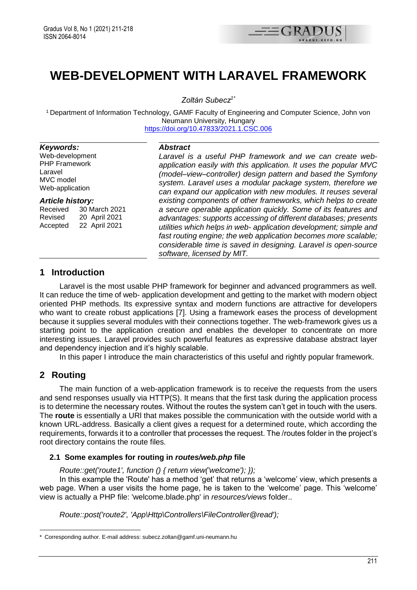

# **WEB-DEVELOPMENT WITH LARAVEL FRAMEWORK**

*Zoltán Subecz1\**

<sup>1</sup> Department of Information Technology, GAMF Faculty of Engineering and Computer Science, John von Neumann University, Hungary <https://doi.org/10.47833/2021.1.CSC.006>

#### *Keywords:*

Web-development PHP Framework Laravel MVC model Web-application

#### *Article history:*

Received 30 March 2021 Revised 20 April 2021 Accepted 22 April 2021

#### *Abstract*

*Laravel is a useful PHP framework and we can create webapplication easily with this application. It uses the popular MVC (model–view–controller) design pattern and based the Symfony system. Laravel uses a modular package system, therefore we can expand our application with new modules. It reuses several existing components of other frameworks, which helps to create a secure operable application quickly. Some of its features and advantages: supports accessing of different databases; presents utilities which helps in web- application development; simple and fast routing engine; the web application becomes more scalable; considerable time is saved in designing. Laravel is open-source software, licensed by MIT.*

# **1 Introduction**

Laravel is the most usable PHP framework for beginner and advanced programmers as well. It can reduce the time of web- application development and getting to the market with modern object oriented PHP methods. Its expressive syntax and modern functions are attractive for developers who want to create robust applications [7]. Using a framework eases the process of development because it supplies several modules with their connections together. The web-framework gives us a starting point to the application creation and enables the developer to concentrate on more interesting issues. Laravel provides such powerful features as expressive database abstract layer and dependency injection and it's highly scalable.

In this paper I introduce the main characteristics of this useful and rightly popular framework.

# **2 Routing**

The main function of a web-application framework is to receive the requests from the users and send responses usually via HTTP(S). It means that the first task during the application process is to determine the necessary routes. Without the routes the system can't get in touch with the users. The **route** is essentially a URl that makes possible the communication with the outside world with a known URL-address. Basically a client gives a request for a determined route, which according the requirements, forwards it to a controller that processes the request. The /routes folder in the project's root directory contains the route files.

# **2.1 Some examples for routing in** *routes/web.php* **file**

*Route::get('route1', function () { return view('welcome'); });*

In this example the 'Route' has a method 'get' that returns a 'welcome' view, which presents a web page. When a user visits the home page, he is taken to the 'welcome' page. This 'welcome' view is actually a PHP file: 'welcome.blade.php' in *resources/views* folder..

*Route::post('route2', 'App\Http\Controllers\FileController@read');*

<sup>1</sup> \* Corresponding author. E-mail address: subecz.zoltan@gamf.uni-neumann.hu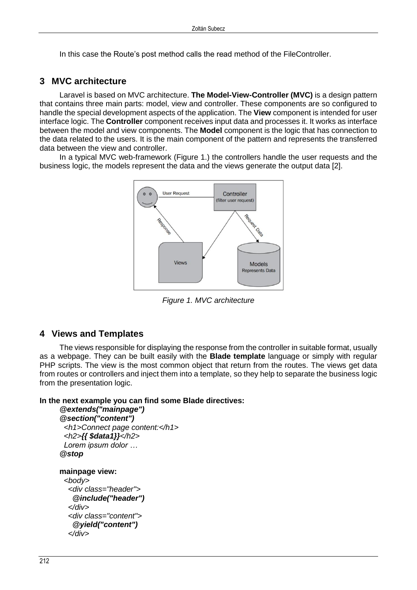In this case the Route's post method calls the read method of the FileController.

# **3 MVC architecture**

Laravel is based on MVC architecture. **The Model-View-Controller (MVC)** is a design pattern that contains three main parts: model, view and controller. These components are so configured to handle the special development aspects of the application. The **View** component is intended for user interface logic. The **Controller** component receives input data and processes it. It works as interface between the model and view components. The **Model** component is the logic that has connection to the data related to the users. It is the main component of the pattern and represents the transferred data between the view and controller.

In a typical MVC web-framework (Figure 1.) the controllers handle the user requests and the business logic, the models represent the data and the views generate the output data [2].



*Figure 1. MVC architecture*

# **4 Views and Templates**

The views responsible for displaying the response from the controller in suitable format, usually as a webpage. They can be built easily with the **Blade template** language or simply with regular PHP scripts. The view is the most common object that return from the routes. The views get data from routes or controllers and inject them into a template, so they help to separate the business logic from the presentation logic.

```
In the next example you can find some Blade directives:
```

```
@extends("mainpage")
@section("content")
 <h1>Connect page content:</h1>
 <h2>{{ $data1}}</h2>
 Lorem ipsum dolor …
@stop
```
**mainpage view:**  *<body> <div class="header"> @include("header") </div> <div class="content"> @yield("content") </div>*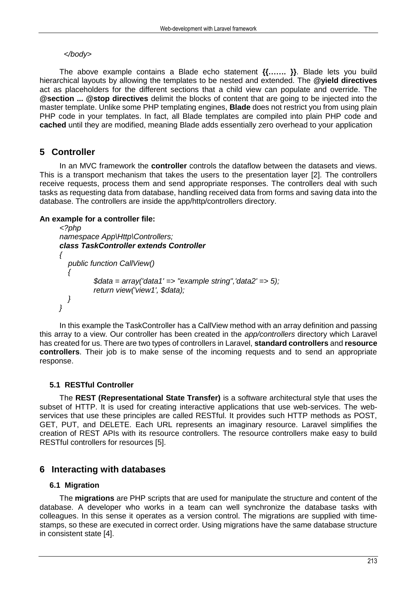#### *</body>*

The above example contains a Blade echo statement **{{……. }}**. Blade lets you build hierarchical layouts by allowing the templates to be nested and extended. The **@yield directives** act as placeholders for the different sections that a child view can populate and override. The **@section ... @stop directives** delimit the blocks of content that are going to be injected into the master template. Unlike some PHP templating engines, **Blade** does not restrict you from using plain PHP code in your templates. In fact, all Blade templates are compiled into plain PHP code and **cached** until they are modified, meaning Blade adds essentially zero overhead to your application

# **5 Controller**

In an MVC framework the **controller** controls the dataflow between the datasets and views. This is a transport mechanism that takes the users to the presentation layer [2]. The controllers receive requests, process them and send appropriate responses. The controllers deal with such tasks as requesting data from database, handling received data from forms and saving data into the database. The controllers are inside the app/http/controllers directory.

#### **An example for a controller file:**

```
<?php
namespace App\Http\Controllers;
class TaskController extends Controller
{
   public function CallView()
   {
           $data = array('data1' => "example string",'data2' => 5);
           return view('view1', $data);
   }
}
```
In this example the TaskController has a CallView method with an array definition and passing this array to a view. Our controller has been created in the *app/controllers* directory which Laravel has created for us. There are two types of controllers in Laravel, **standard controllers** and **resource controllers**. Their job is to make sense of the incoming requests and to send an appropriate response.

# **5.1 RESTful Controller**

The **REST (Representational State Transfer)** is a software architectural style that uses the subset of HTTP. It is used for creating interactive applications that use web-services. The webservices that use these principles are called RESTful. It provides such HTTP methods as POST, GET, PUT, and DELETE. Each URL represents an imaginary resource. Laravel simplifies the creation of REST APIs with its resource controllers. The resource controllers make easy to build RESTful controllers for resources [5].

# **6 Interacting with databases**

# **6.1 Migration**

The **migrations** are PHP scripts that are used for manipulate the structure and content of the database. A developer who works in a team can well synchronize the database tasks with colleagues. In this sense it operates as a version control. The migrations are supplied with timestamps, so these are executed in correct order. Using migrations have the same database structure in consistent state [4].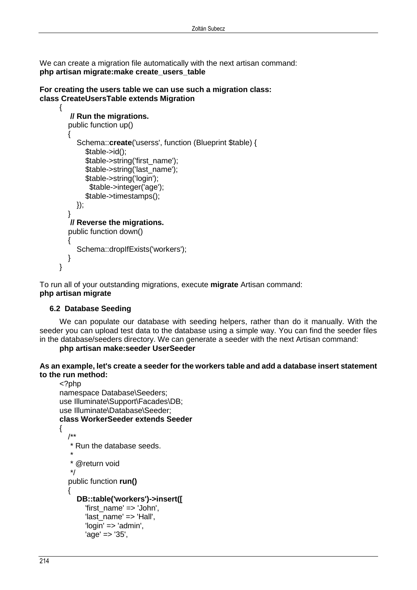We can create a migration file automatically with the next artisan command: **php artisan migrate:make create\_users\_table**

#### **For creating the users table we can use such a migration class: class CreateUsersTable extends Migration**

```
{
    // Run the migrations.
   public function up()
    {
      Schema::create('userss', function (Blueprint $table) {
         $table->id();
         $table->string('first_name');
         $table->string('last_name');
         $table->string('login');
          $table->integer('age');
         $table->timestamps();
      });
   }
    // Reverse the migrations.
    public function down()
   {
      Schema::dropIfExists('workers');
   }
}
```
To run all of your outstanding migrations, execute **migrate** Artisan command: **php artisan migrate**

#### **6.2 Database Seeding**

We can populate our database with seeding helpers, rather than do it manually. With the seeder you can upload test data to the database using a simple way. You can find the seeder files in the database/seeders directory. We can generate a seeder with the next Artisan command:

#### **php artisan make:seeder UserSeeder**

**As an example, let's create a seeder for the workers table and add a database insert statement to the run method:**

```
<?php
namespace Database\Seeders;
use Illuminate\Support\Facades\DB;
use Illuminate\Database\Seeder;
class WorkerSeeder extends Seeder
{
 /**
    * Run the database seeds.
 *
    * @return void
 */
   public function run()
\{ DB::table('workers')->insert([
        'first_name' => 'John',
        'last_name' => 'Hall',
        'login' => 'admin',
       'aae' => '35'.
```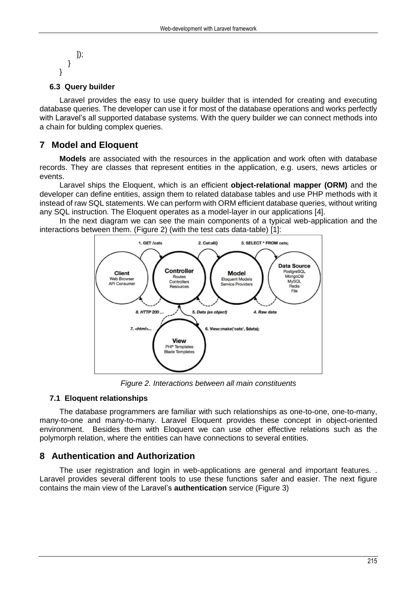]); } }

#### **6.3 Query builder**

Laravel provides the easy to use query builder that is intended for creating and executing database queries. The developer can use it for most of the database operations and works perfectly with Laravel's all supported database systems. With the query builder we can connect methods into a chain for bulding complex queries.

# **7 Model and Eloquent**

**Models** are associated with the resources in the application and work often with database records. They are classes that represent entities in the application, e.g. users, news articles or events.

Laravel ships the Eloquent, which is an efficient **object-relational mapper (ORM)** and the developer can define entities, assign them to related database tables and use PHP methods with it instead of raw SQL statements. We can perform with ORM efficient database queries, without writing any SQL instruction. The Eloquent operates as a model-layer in our applications [4].

In the next diagram we can see the main components of a typical web-application and the interactions between them. (Figure 2) (with the test cats data-table) [1]:



*Figure 2. Interactions between all main constituents*

#### **7.1 Eloquent relationships**

The database programmers are familiar with such relationships as one-to-one, one-to-many, many-to-one and many-to-many. Laravel Eloquent provides these concept in object-oriented environment. Besides them with Eloquent we can use other effective relations such as the polymorph relation, where the entities can have connections to several entities.

# **8 Authentication and Authorization**

The user registration and login in web-applications are general and important features. . Laravel provides several different tools to use these functions safer and easier. The next figure contains the main view of the Laravel's **authentication** service (Figure 3)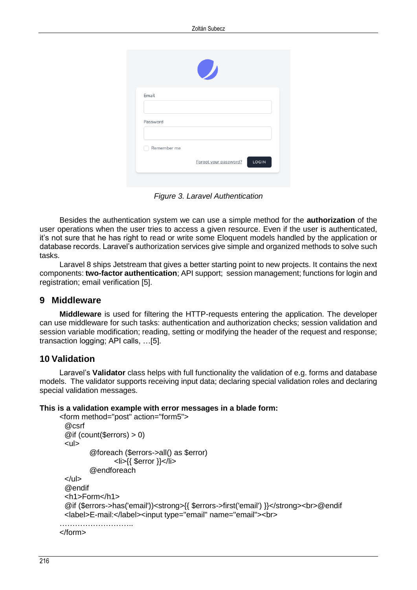|             | $\boldsymbol{Z}$      |       |
|-------------|-----------------------|-------|
| Email       |                       |       |
| Password    |                       |       |
|             |                       |       |
| Remember me |                       |       |
|             | Forgot your password? | LOGIN |
|             |                       |       |

*Figure 3. Laravel Authentication*

Besides the authentication system we can use a simple method for the **authorization** of the user operations when the user tries to access a given resource. Even if the user is authenticated, it's not sure that he has right to read or write some Eloquent models handled by the application or database records. Laravel's authorization services give simple and organized methods to solve such tasks.

Laravel 8 ships Jetstream that gives a better starting point to new projects. It contains the next components: **two-factor authentication**; API support; session management; functions for login and registration; email verification [5].

#### **9 Middleware**

**Middleware** is used for filtering the HTTP-requests entering the application. The developer can use middleware for such tasks: authentication and authorization checks; session validation and session variable modification; reading, setting or modifying the header of the request and response; transaction logging; API calls, …[5].

# **10 Validation**

Laravel's **Validator** class helps with full functionality the validation of e.g. forms and database models. The validator supports receiving input data; declaring special validation roles and declaring special validation messages.

#### **This is a validation example with error messages in a blade form:**

```
<form method="post" action="form5">
 @csrf 
 @if (count($errors) > 0)
 \lequl\geq@foreach ($errors->all() as $error)
               <li>{{ $error }}</li>
        @endforeach
 \langle u|@endif 
 <h1>Form</h1> 
 @if ($errors->has('email'))<strong>{{ $errors->first('email') }}</strong><br>@endif
 <label>E-mail:</label><input type="email" name="email"><br>
………………………..
</form>
```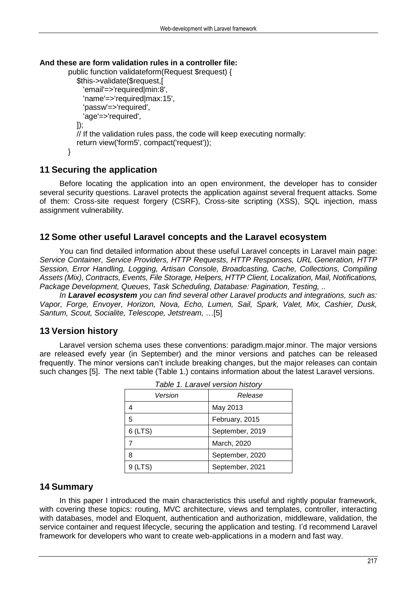#### **And these are form validation rules in a controller file:**

```
 public function validateform(Request $request) {
   $this->validate($request,[
      'email'=>'required|min:8',
      'name'=>'required|max:15',
      'passw'=>'required',
     'age'=>'required',
   ]);
   // If the validation rules pass, the code will keep executing normally:
   return view('form5', compact('request'));
 }
```
# **11 Securing the application**

Before locating the application into an open environment, the developer has to consider several security questions. Laravel protects the application against several frequent attacks. Some of them: Cross-site request forgery (CSRF), Cross-site scripting (XSS), SQL injection, mass assignment vulnerability.

# **12 Some other useful Laravel concepts and the Laravel ecosystem**

You can find detailed information about these useful Laravel concepts in Laravel main page: *Service Container, Service Providers, HTTP Requests, HTTP Responses, URL Generation, HTTP Session, Error Handling, Logging, Artisan Console, Broadcasting, Cache, Collections, Compiling Assets (Mix), Contracts, Events, File Storage, Helpers, HTTP Client, Localization, Mail, Notifications, Package Development, Queues, Task Scheduling, Database: Pagination, Testing, ..*

*In Laravel ecosystem you can find several other Laravel products and integrations, such as: Vapor, Forge, Envoyer, Horizon, Nova, Echo, Lumen, Sail, Spark, Valet, Mix, Cashier, Dusk, Santum, Scout, Socialite, Telescope, Jetstream,* …[5]

# **13 Version history**

Laravel version schema uses these conventions: paradigm.major.minor. The major versions are released evefy year (in September) and the minor versions and patches can be released frequently. The minor versions can't include breaking changes, but the major releases can contain such changes [5]. The next table (Table 1.) contains information about the latest Laravel versions.

| Table T. Laravel version history |                 |  |
|----------------------------------|-----------------|--|
| Version                          | Release         |  |
|                                  | May 2013        |  |
| 5                                | February, 2015  |  |
| 6 (LTS)                          | September, 2019 |  |
|                                  | March, 2020     |  |
| 8                                | September, 2020 |  |
| $9$ (LTS)                        | September, 2021 |  |

*Table 1. Laravel version history*

# **14 Summary**

In this paper I introduced the main characteristics this useful and rightly popular framework, with covering these topics: routing, MVC architecture, views and templates, controller, interacting with databases, model and Eloquent, authentication and authorization, middleware, validation, the service container and request lifecycle, securing the application and testing. I'd recommend Laravel framework for developers who want to create web-applications in a modern and fast way.